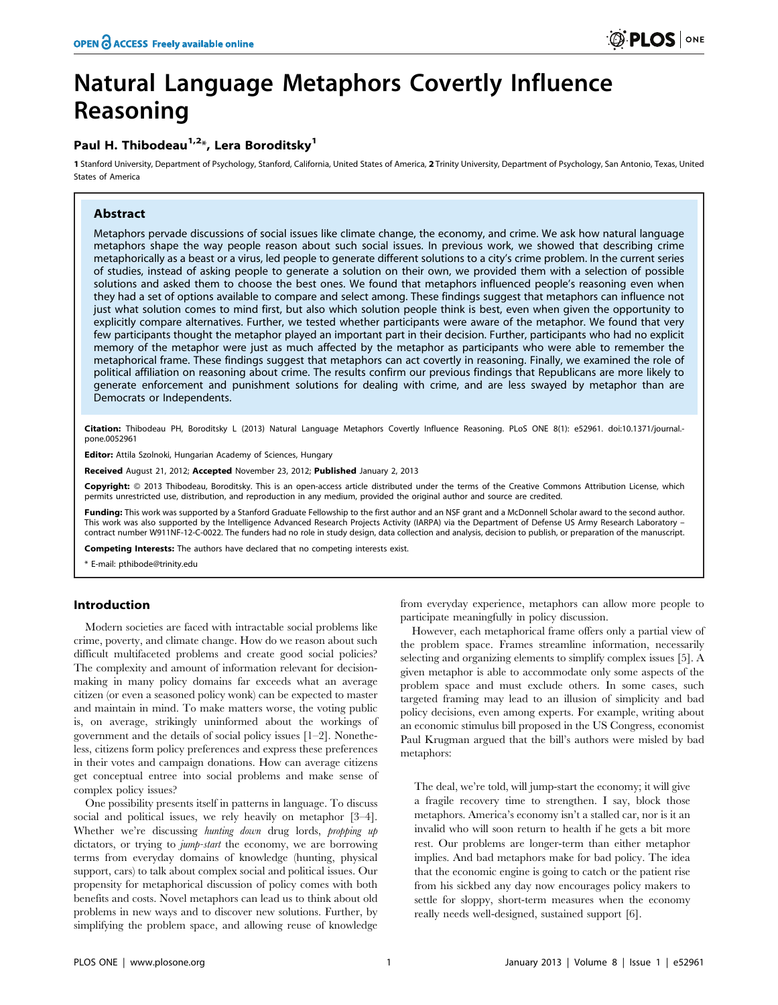# Natural Language Metaphors Covertly Influence Reasoning

## Paul H. Thibodeau<sup>1,2\*</sup>, Lera Boroditsky<sup>1</sup>

1 Stanford University, Department of Psychology, Stanford, California, United States of America, 2 Trinity University, Department of Psychology, San Antonio, Texas, United States of America

## Abstract

Metaphors pervade discussions of social issues like climate change, the economy, and crime. We ask how natural language metaphors shape the way people reason about such social issues. In previous work, we showed that describing crime metaphorically as a beast or a virus, led people to generate different solutions to a city's crime problem. In the current series of studies, instead of asking people to generate a solution on their own, we provided them with a selection of possible solutions and asked them to choose the best ones. We found that metaphors influenced people's reasoning even when they had a set of options available to compare and select among. These findings suggest that metaphors can influence not just what solution comes to mind first, but also which solution people think is best, even when given the opportunity to explicitly compare alternatives. Further, we tested whether participants were aware of the metaphor. We found that very few participants thought the metaphor played an important part in their decision. Further, participants who had no explicit memory of the metaphor were just as much affected by the metaphor as participants who were able to remember the metaphorical frame. These findings suggest that metaphors can act covertly in reasoning. Finally, we examined the role of political affiliation on reasoning about crime. The results confirm our previous findings that Republicans are more likely to generate enforcement and punishment solutions for dealing with crime, and are less swayed by metaphor than are Democrats or Independents.

Citation: Thibodeau PH, Boroditsky L (2013) Natural Language Metaphors Covertly Influence Reasoning. PLoS ONE 8(1): e52961. doi:10.1371/journal.pone.0052961

Editor: Attila Szolnoki, Hungarian Academy of Sciences, Hungary

Received August 21, 2012; Accepted November 23, 2012; Published January 2, 2013

Copyright: © 2013 Thibodeau, Boroditsky. This is an open-access article distributed under the terms of the Creative Commons Attribution License, which permits unrestricted use, distribution, and reproduction in any medium, provided the original author and source are credited.

Funding: This work was supported by a Stanford Graduate Fellowship to the first author and an NSF grant and a McDonnell Scholar award to the second author. This work was also supported by the Intelligence Advanced Research Projects Activity (IARPA) via the Department of Defense US Army Research Laboratory – contract number W911NF-12-C-0022. The funders had no role in study design, data collection and analysis, decision to publish, or preparation of the manuscript.

Competing Interests: The authors have declared that no competing interests exist.

\* E-mail: pthibode@trinity.edu

## Introduction

Modern societies are faced with intractable social problems like crime, poverty, and climate change. How do we reason about such difficult multifaceted problems and create good social policies? The complexity and amount of information relevant for decisionmaking in many policy domains far exceeds what an average citizen (or even a seasoned policy wonk) can be expected to master and maintain in mind. To make matters worse, the voting public is, on average, strikingly uninformed about the workings of government and the details of social policy issues [1–2]. Nonetheless, citizens form policy preferences and express these preferences in their votes and campaign donations. How can average citizens get conceptual entree into social problems and make sense of complex policy issues?

One possibility presents itself in patterns in language. To discuss social and political issues, we rely heavily on metaphor [3–4]. Whether we're discussing hunting down drug lords, propping up dictators, or trying to *jump-start* the economy, we are borrowing terms from everyday domains of knowledge (hunting, physical support, cars) to talk about complex social and political issues. Our propensity for metaphorical discussion of policy comes with both benefits and costs. Novel metaphors can lead us to think about old problems in new ways and to discover new solutions. Further, by simplifying the problem space, and allowing reuse of knowledge

from everyday experience, metaphors can allow more people to participate meaningfully in policy discussion.

However, each metaphorical frame offers only a partial view of the problem space. Frames streamline information, necessarily selecting and organizing elements to simplify complex issues [5]. A given metaphor is able to accommodate only some aspects of the problem space and must exclude others. In some cases, such targeted framing may lead to an illusion of simplicity and bad policy decisions, even among experts. For example, writing about an economic stimulus bill proposed in the US Congress, economist Paul Krugman argued that the bill's authors were misled by bad metaphors:

The deal, we're told, will jump-start the economy; it will give a fragile recovery time to strengthen. I say, block those metaphors. America's economy isn't a stalled car, nor is it an invalid who will soon return to health if he gets a bit more rest. Our problems are longer-term than either metaphor implies. And bad metaphors make for bad policy. The idea that the economic engine is going to catch or the patient rise from his sickbed any day now encourages policy makers to settle for sloppy, short-term measures when the economy really needs well-designed, sustained support [6].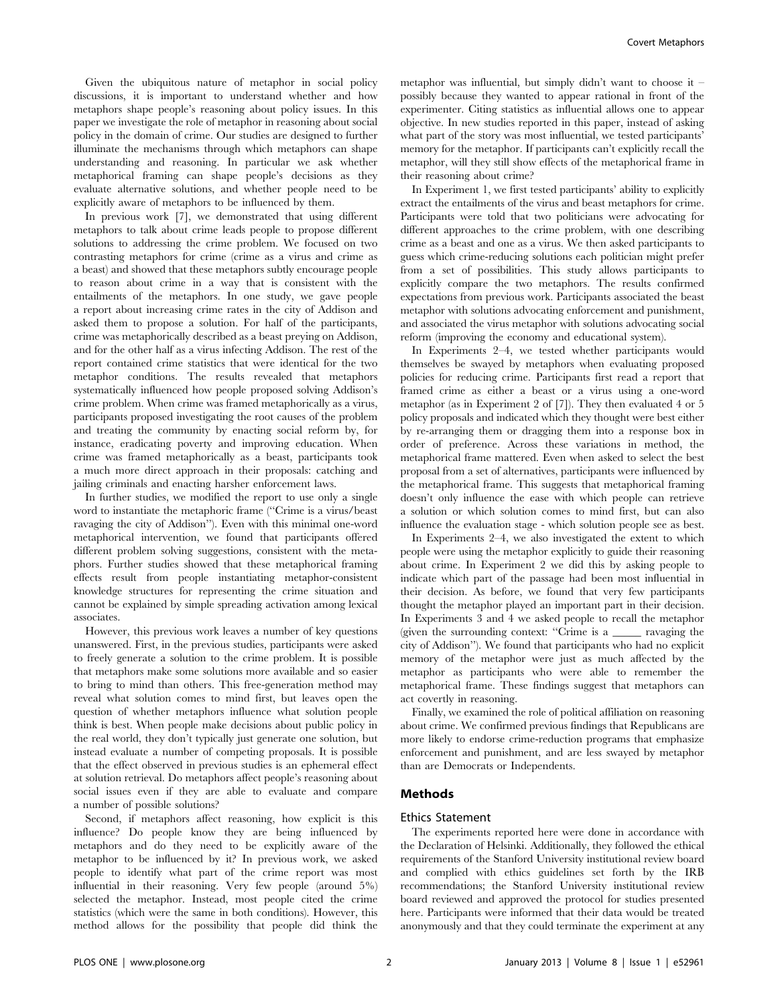Given the ubiquitous nature of metaphor in social policy discussions, it is important to understand whether and how metaphors shape people's reasoning about policy issues. In this paper we investigate the role of metaphor in reasoning about social policy in the domain of crime. Our studies are designed to further illuminate the mechanisms through which metaphors can shape understanding and reasoning. In particular we ask whether metaphorical framing can shape people's decisions as they evaluate alternative solutions, and whether people need to be explicitly aware of metaphors to be influenced by them.

In previous work [7], we demonstrated that using different metaphors to talk about crime leads people to propose different solutions to addressing the crime problem. We focused on two contrasting metaphors for crime (crime as a virus and crime as a beast) and showed that these metaphors subtly encourage people to reason about crime in a way that is consistent with the entailments of the metaphors. In one study, we gave people a report about increasing crime rates in the city of Addison and asked them to propose a solution. For half of the participants, crime was metaphorically described as a beast preying on Addison, and for the other half as a virus infecting Addison. The rest of the report contained crime statistics that were identical for the two metaphor conditions. The results revealed that metaphors systematically influenced how people proposed solving Addison's crime problem. When crime was framed metaphorically as a virus, participants proposed investigating the root causes of the problem and treating the community by enacting social reform by, for instance, eradicating poverty and improving education. When crime was framed metaphorically as a beast, participants took a much more direct approach in their proposals: catching and jailing criminals and enacting harsher enforcement laws.

In further studies, we modified the report to use only a single word to instantiate the metaphoric frame (''Crime is a virus/beast ravaging the city of Addison''). Even with this minimal one-word metaphorical intervention, we found that participants offered different problem solving suggestions, consistent with the metaphors. Further studies showed that these metaphorical framing effects result from people instantiating metaphor-consistent knowledge structures for representing the crime situation and cannot be explained by simple spreading activation among lexical associates.

However, this previous work leaves a number of key questions unanswered. First, in the previous studies, participants were asked to freely generate a solution to the crime problem. It is possible that metaphors make some solutions more available and so easier to bring to mind than others. This free-generation method may reveal what solution comes to mind first, but leaves open the question of whether metaphors influence what solution people think is best. When people make decisions about public policy in the real world, they don't typically just generate one solution, but instead evaluate a number of competing proposals. It is possible that the effect observed in previous studies is an ephemeral effect at solution retrieval. Do metaphors affect people's reasoning about social issues even if they are able to evaluate and compare a number of possible solutions?

Second, if metaphors affect reasoning, how explicit is this influence? Do people know they are being influenced by metaphors and do they need to be explicitly aware of the metaphor to be influenced by it? In previous work, we asked people to identify what part of the crime report was most influential in their reasoning. Very few people (around 5%) selected the metaphor. Instead, most people cited the crime statistics (which were the same in both conditions). However, this method allows for the possibility that people did think the metaphor was influential, but simply didn't want to choose it – possibly because they wanted to appear rational in front of the experimenter. Citing statistics as influential allows one to appear objective. In new studies reported in this paper, instead of asking what part of the story was most influential, we tested participants' memory for the metaphor. If participants can't explicitly recall the metaphor, will they still show effects of the metaphorical frame in their reasoning about crime?

In Experiment 1, we first tested participants' ability to explicitly extract the entailments of the virus and beast metaphors for crime. Participants were told that two politicians were advocating for different approaches to the crime problem, with one describing crime as a beast and one as a virus. We then asked participants to guess which crime-reducing solutions each politician might prefer from a set of possibilities. This study allows participants to explicitly compare the two metaphors. The results confirmed expectations from previous work. Participants associated the beast metaphor with solutions advocating enforcement and punishment, and associated the virus metaphor with solutions advocating social reform (improving the economy and educational system).

In Experiments 2–4, we tested whether participants would themselves be swayed by metaphors when evaluating proposed policies for reducing crime. Participants first read a report that framed crime as either a beast or a virus using a one-word metaphor (as in Experiment 2 of [7]). They then evaluated 4 or 5 policy proposals and indicated which they thought were best either by re-arranging them or dragging them into a response box in order of preference. Across these variations in method, the metaphorical frame mattered. Even when asked to select the best proposal from a set of alternatives, participants were influenced by the metaphorical frame. This suggests that metaphorical framing doesn't only influence the ease with which people can retrieve a solution or which solution comes to mind first, but can also influence the evaluation stage - which solution people see as best.

In Experiments 2–4, we also investigated the extent to which people were using the metaphor explicitly to guide their reasoning about crime. In Experiment 2 we did this by asking people to indicate which part of the passage had been most influential in their decision. As before, we found that very few participants thought the metaphor played an important part in their decision. In Experiments 3 and 4 we asked people to recall the metaphor (given the surrounding context: ''Crime is a \_\_\_\_\_ ravaging the city of Addison''). We found that participants who had no explicit memory of the metaphor were just as much affected by the metaphor as participants who were able to remember the metaphorical frame. These findings suggest that metaphors can act covertly in reasoning.

Finally, we examined the role of political affiliation on reasoning about crime. We confirmed previous findings that Republicans are more likely to endorse crime-reduction programs that emphasize enforcement and punishment, and are less swayed by metaphor than are Democrats or Independents.

## Methods

## Ethics Statement

The experiments reported here were done in accordance with the Declaration of Helsinki. Additionally, they followed the ethical requirements of the Stanford University institutional review board and complied with ethics guidelines set forth by the IRB recommendations; the Stanford University institutional review board reviewed and approved the protocol for studies presented here. Participants were informed that their data would be treated anonymously and that they could terminate the experiment at any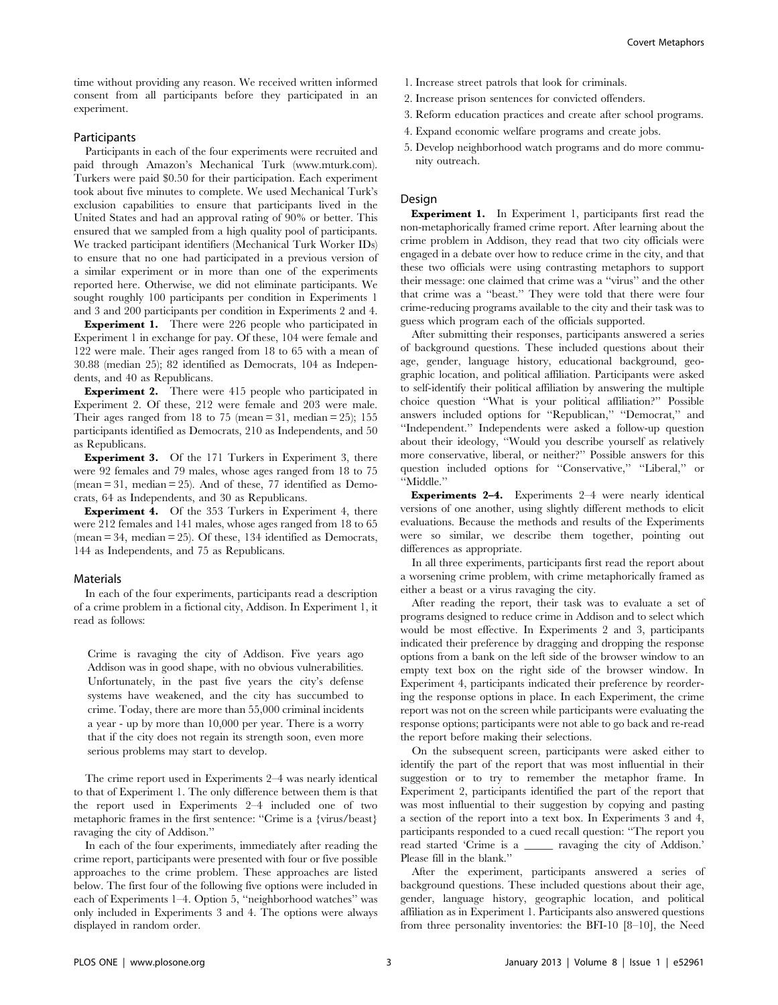time without providing any reason. We received written informed consent from all participants before they participated in an experiment.

## Participants

Participants in each of the four experiments were recruited and paid through Amazon's Mechanical Turk (www.mturk.com). Turkers were paid \$0.50 for their participation. Each experiment took about five minutes to complete. We used Mechanical Turk's exclusion capabilities to ensure that participants lived in the United States and had an approval rating of 90% or better. This ensured that we sampled from a high quality pool of participants. We tracked participant identifiers (Mechanical Turk Worker IDs) to ensure that no one had participated in a previous version of a similar experiment or in more than one of the experiments reported here. Otherwise, we did not eliminate participants. We sought roughly 100 participants per condition in Experiments 1 and 3 and 200 participants per condition in Experiments 2 and 4.

Experiment 1. There were 226 people who participated in Experiment 1 in exchange for pay. Of these, 104 were female and 122 were male. Their ages ranged from 18 to 65 with a mean of 30.88 (median 25); 82 identified as Democrats, 104 as Independents, and 40 as Republicans.

**Experiment 2.** There were 415 people who participated in Experiment 2. Of these, 212 were female and 203 were male. Their ages ranged from 18 to 75 (mean  $= 31$ , median  $= 25$ ); 155 participants identified as Democrats, 210 as Independents, and 50 as Republicans.

Experiment 3. Of the 171 Turkers in Experiment 3, there were 92 females and 79 males, whose ages ranged from 18 to 75  $(mean = 31, median = 25)$ . And of these, 77 identified as Democrats, 64 as Independents, and 30 as Republicans.

Experiment 4. Of the 353 Turkers in Experiment 4, there were 212 females and 141 males, whose ages ranged from 18 to 65 (mean = 34, median = 25). Of these, 134 identified as Democrats, 144 as Independents, and 75 as Republicans.

### Materials

In each of the four experiments, participants read a description of a crime problem in a fictional city, Addison. In Experiment 1, it read as follows:

Crime is ravaging the city of Addison. Five years ago Addison was in good shape, with no obvious vulnerabilities. Unfortunately, in the past five years the city's defense systems have weakened, and the city has succumbed to crime. Today, there are more than 55,000 criminal incidents a year - up by more than 10,000 per year. There is a worry that if the city does not regain its strength soon, even more serious problems may start to develop.

The crime report used in Experiments 2–4 was nearly identical to that of Experiment 1. The only difference between them is that the report used in Experiments 2–4 included one of two metaphoric frames in the first sentence: ''Crime is a {virus/beast} ravaging the city of Addison.''

In each of the four experiments, immediately after reading the crime report, participants were presented with four or five possible approaches to the crime problem. These approaches are listed below. The first four of the following five options were included in each of Experiments 1–4. Option 5, ''neighborhood watches'' was only included in Experiments 3 and 4. The options were always displayed in random order.

- 1. Increase street patrols that look for criminals.
- 2. Increase prison sentences for convicted offenders.
- 3. Reform education practices and create after school programs.
- 4. Expand economic welfare programs and create jobs.
- 5. Develop neighborhood watch programs and do more community outreach.

#### Design

Experiment 1. In Experiment 1, participants first read the non-metaphorically framed crime report. After learning about the crime problem in Addison, they read that two city officials were engaged in a debate over how to reduce crime in the city, and that these two officials were using contrasting metaphors to support their message: one claimed that crime was a ''virus'' and the other that crime was a ''beast.'' They were told that there were four crime-reducing programs available to the city and their task was to guess which program each of the officials supported.

After submitting their responses, participants answered a series of background questions. These included questions about their age, gender, language history, educational background, geographic location, and political affiliation. Participants were asked to self-identify their political affiliation by answering the multiple choice question ''What is your political affiliation?'' Possible answers included options for "Republican," "Democrat," and ''Independent.'' Independents were asked a follow-up question about their ideology, ''Would you describe yourself as relatively more conservative, liberal, or neither?'' Possible answers for this question included options for "Conservative," "Liberal," or ''Middle.''

Experiments 2–4. Experiments 2–4 were nearly identical versions of one another, using slightly different methods to elicit evaluations. Because the methods and results of the Experiments were so similar, we describe them together, pointing out differences as appropriate.

In all three experiments, participants first read the report about a worsening crime problem, with crime metaphorically framed as either a beast or a virus ravaging the city.

After reading the report, their task was to evaluate a set of programs designed to reduce crime in Addison and to select which would be most effective. In Experiments 2 and 3, participants indicated their preference by dragging and dropping the response options from a bank on the left side of the browser window to an empty text box on the right side of the browser window. In Experiment 4, participants indicated their preference by reordering the response options in place. In each Experiment, the crime report was not on the screen while participants were evaluating the response options; participants were not able to go back and re-read the report before making their selections.

On the subsequent screen, participants were asked either to identify the part of the report that was most influential in their suggestion or to try to remember the metaphor frame. In Experiment 2, participants identified the part of the report that was most influential to their suggestion by copying and pasting a section of the report into a text box. In Experiments 3 and 4, participants responded to a cued recall question: ''The report you read started 'Crime is a \_\_\_\_\_ ravaging the city of Addison.' Please fill in the blank.''

After the experiment, participants answered a series of background questions. These included questions about their age, gender, language history, geographic location, and political affiliation as in Experiment 1. Participants also answered questions from three personality inventories: the BFI-10 [8–10], the Need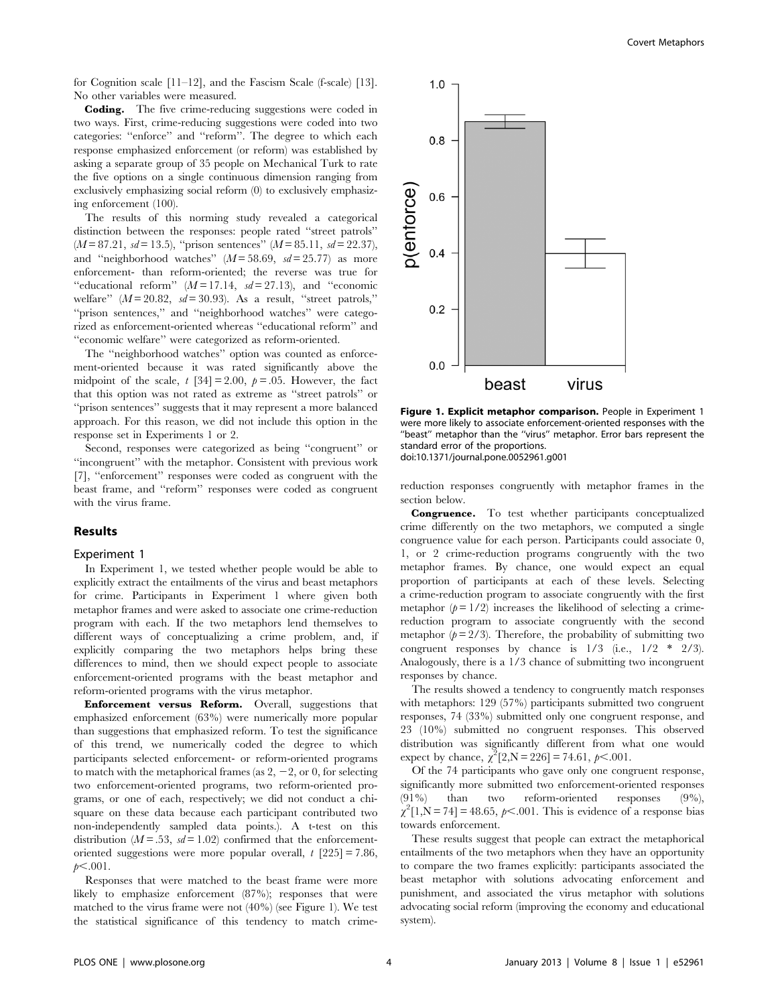for Cognition scale [11–12], and the Fascism Scale (f-scale) [13]. No other variables were measured.

Coding. The five crime-reducing suggestions were coded in two ways. First, crime-reducing suggestions were coded into two categories: ''enforce'' and ''reform''. The degree to which each response emphasized enforcement (or reform) was established by asking a separate group of 35 people on Mechanical Turk to rate the five options on a single continuous dimension ranging from exclusively emphasizing social reform (0) to exclusively emphasizing enforcement (100).

The results of this norming study revealed a categorical distinction between the responses: people rated ''street patrols''  $(M = 87.21, sd = 13.5)$ , "prison sentences"  $(M = 85.11, sd = 22.37)$ , and "neighborhood watches"  $(M = 58.69, sd = 25.77)$  as more enforcement- than reform-oriented; the reverse was true for "educational reform"  $(M=17.14, sd=27.13)$ , and "economic welfare"  $(M = 20.82, sd = 30.93)$ . As a result, "street patrols," "prison sentences," and "neighborhood watches" were categorized as enforcement-oriented whereas ''educational reform'' and ''economic welfare'' were categorized as reform-oriented.

The ''neighborhood watches'' option was counted as enforcement-oriented because it was rated significantly above the midpoint of the scale,  $t$  [34] = 2.00,  $p = .05$ . However, the fact that this option was not rated as extreme as ''street patrols'' or ''prison sentences'' suggests that it may represent a more balanced approach. For this reason, we did not include this option in the response set in Experiments 1 or 2.

Second, responses were categorized as being ''congruent'' or ''incongruent'' with the metaphor. Consistent with previous work [7], ''enforcement'' responses were coded as congruent with the beast frame, and ''reform'' responses were coded as congruent with the virus frame.

## Results

#### Experiment 1

In Experiment 1, we tested whether people would be able to explicitly extract the entailments of the virus and beast metaphors for crime. Participants in Experiment 1 where given both metaphor frames and were asked to associate one crime-reduction program with each. If the two metaphors lend themselves to different ways of conceptualizing a crime problem, and, if explicitly comparing the two metaphors helps bring these differences to mind, then we should expect people to associate enforcement-oriented programs with the beast metaphor and reform-oriented programs with the virus metaphor.

Enforcement versus Reform. Overall, suggestions that emphasized enforcement (63%) were numerically more popular than suggestions that emphasized reform. To test the significance of this trend, we numerically coded the degree to which participants selected enforcement- or reform-oriented programs to match with the metaphorical frames (as  $2, -2$ , or 0, for selecting two enforcement-oriented programs, two reform-oriented programs, or one of each, respectively; we did not conduct a chisquare on these data because each participant contributed two non-independently sampled data points.). A t-test on this distribution ( $M = .53$ ,  $sd = 1.02$ ) confirmed that the enforcementoriented suggestions were more popular overall,  $t$  [225] = 7.86,  $p<.001$ .

Responses that were matched to the beast frame were more likely to emphasize enforcement (87%); responses that were matched to the virus frame were not (40%) (see Figure 1). We test the statistical significance of this tendency to match crime-



Figure 1. Explicit metaphor comparison. People in Experiment 1 were more likely to associate enforcement-oriented responses with the "beast" metaphor than the "virus" metaphor. Error bars represent the standard error of the proportions. doi:10.1371/journal.pone.0052961.g001

reduction responses congruently with metaphor frames in the section below.

Congruence. To test whether participants conceptualized crime differently on the two metaphors, we computed a single congruence value for each person. Participants could associate 0, 1, or 2 crime-reduction programs congruently with the two metaphor frames. By chance, one would expect an equal proportion of participants at each of these levels. Selecting a crime-reduction program to associate congruently with the first metaphor  $(p = 1/2)$  increases the likelihood of selecting a crimereduction program to associate congruently with the second metaphor  $(p=2/3)$ . Therefore, the probability of submitting two congruent responses by chance is  $1/3$  (i.e.,  $1/2$  \*  $2/3$ ). Analogously, there is a 1/3 chance of submitting two incongruent responses by chance.

The results showed a tendency to congruently match responses with metaphors: 129 (57%) participants submitted two congruent responses, 74 (33%) submitted only one congruent response, and 23 (10%) submitted no congruent responses. This observed distribution was significantly different from what one would expect by chance,  $\chi^2[2, N = 226] = 74.61, \, \rho < .001.$ 

Of the 74 participants who gave only one congruent response, significantly more submitted two enforcement-oriented responses (91%) than two reform-oriented responses (9%),  $\chi^2[1, N = 74] = 48.65, p < .001$ . This is evidence of a response bias towards enforcement.

These results suggest that people can extract the metaphorical entailments of the two metaphors when they have an opportunity to compare the two frames explicitly: participants associated the beast metaphor with solutions advocating enforcement and punishment, and associated the virus metaphor with solutions advocating social reform (improving the economy and educational system).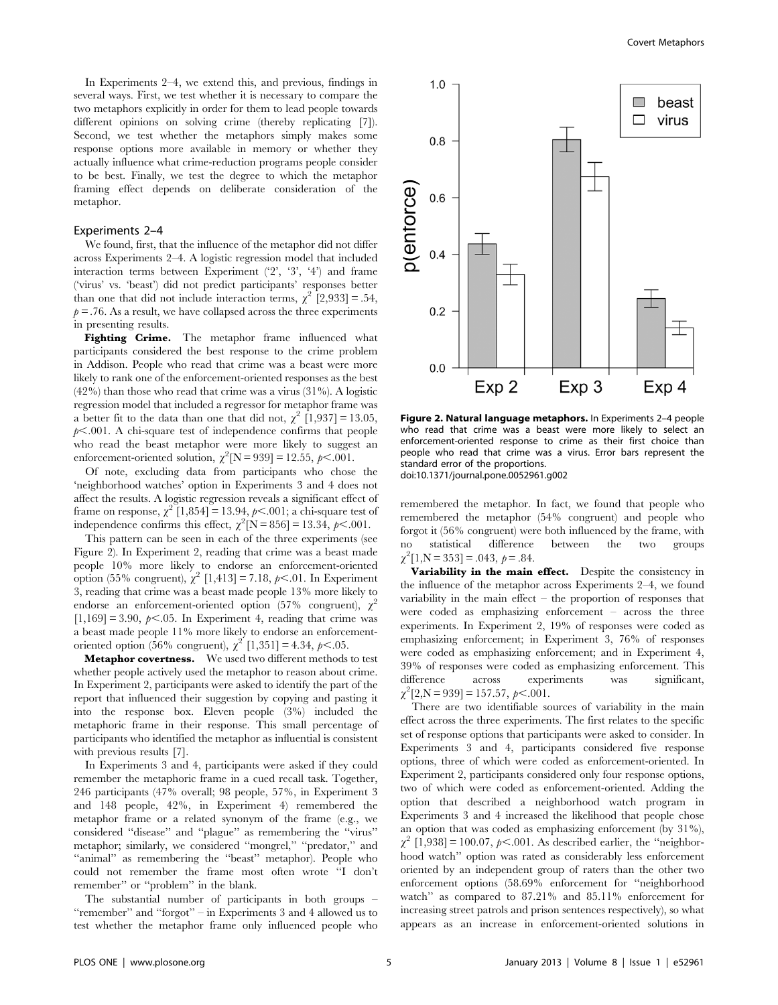In Experiments 2–4, we extend this, and previous, findings in several ways. First, we test whether it is necessary to compare the two metaphors explicitly in order for them to lead people towards different opinions on solving crime (thereby replicating [7]). Second, we test whether the metaphors simply makes some response options more available in memory or whether they actually influence what crime-reduction programs people consider to be best. Finally, we test the degree to which the metaphor framing effect depends on deliberate consideration of the metaphor.

### Experiments 2–4

We found, first, that the influence of the metaphor did not differ across Experiments 2–4. A logistic regression model that included interaction terms between Experiment  $(2, 3, 4)$  and frame ('virus' vs. 'beast') did not predict participants' responses better than one that did not include interaction terms,  $\chi^2$  [2,933] = .54,  $p = 0.76$ . As a result, we have collapsed across the three experiments in presenting results.

Fighting Crime. The metaphor frame influenced what participants considered the best response to the crime problem in Addison. People who read that crime was a beast were more likely to rank one of the enforcement-oriented responses as the best  $(42\%)$  than those who read that crime was a virus  $(31\%)$ . A logistic regression model that included a regressor for metaphor frame was a better fit to the data than one that did not,  $\chi^2$  [1,937] = 13.05,  $p<.001$ . A chi-square test of independence confirms that people who read the beast metaphor were more likely to suggest an enforcement-oriented solution,  $\chi^2$ [N = 939] = 12.55,  $p < .001$ .

Of note, excluding data from participants who chose the 'neighborhood watches' option in Experiments 3 and 4 does not affect the results. A logistic regression reveals a significant effect of frame on response,  $\chi^2$  [1,854] = 13.94,  $p<.001$ ; a chi-square test of independence confirms this effect,  $\chi^2$ [N = 856] = 13.34,  $p$ <.001.

This pattern can be seen in each of the three experiments (see Figure 2). In Experiment 2, reading that crime was a beast made people 10% more likely to endorse an enforcement-oriented option (55% congruent),  $\chi^2$  [1,413] = 7.18,  $p<.01$ . In Experiment 3, reading that crime was a beast made people 13% more likely to endorse an enforcement-oriented option (57% congruent),  $\chi^2$  $[1,169] = 3.90, \ p \le 0.05$ . In Experiment 4, reading that crime was a beast made people 11% more likely to endorse an enforcementoriented option (56% congruent),  $\chi^2$  [1,351] = 4.34,  $p<.05$ .

Metaphor covertness. We used two different methods to test whether people actively used the metaphor to reason about crime. In Experiment 2, participants were asked to identify the part of the report that influenced their suggestion by copying and pasting it into the response box. Eleven people (3%) included the metaphoric frame in their response. This small percentage of participants who identified the metaphor as influential is consistent with previous results [7].

In Experiments 3 and 4, participants were asked if they could remember the metaphoric frame in a cued recall task. Together, 246 participants (47% overall; 98 people, 57%, in Experiment 3 and 148 people, 42%, in Experiment 4) remembered the metaphor frame or a related synonym of the frame (e.g., we considered ''disease'' and ''plague'' as remembering the ''virus'' metaphor; similarly, we considered "mongrel," "predator," and "animal" as remembering the "beast" metaphor). People who could not remember the frame most often wrote ''I don't remember'' or ''problem'' in the blank.

The substantial number of participants in both groups – ''remember'' and ''forgot'' – in Experiments 3 and 4 allowed us to test whether the metaphor frame only influenced people who



Figure 2. Natural language metaphors. In Experiments 2–4 people who read that crime was a beast were more likely to select an enforcement-oriented response to crime as their first choice than people who read that crime was a virus. Error bars represent the standard error of the proportions. doi:10.1371/journal.pone.0052961.g002

remembered the metaphor. In fact, we found that people who remembered the metaphor (54% congruent) and people who forgot it (56% congruent) were both influenced by the frame, with no statistical difference between the two groups  $\chi^2[1,\text{N}=353] = .043, p = .84.$ 

Variability in the main effect. Despite the consistency in the influence of the metaphor across Experiments 2–4, we found variability in the main effect  $-$  the proportion of responses that were coded as emphasizing enforcement – across the three experiments. In Experiment 2, 19% of responses were coded as emphasizing enforcement; in Experiment 3, 76% of responses were coded as emphasizing enforcement; and in Experiment 4, 39% of responses were coded as emphasizing enforcement. This difference across experiments was significant,  $\chi^2[2,\text{N}=939] = 157.57, \, \rho \leq .001.$ 

There are two identifiable sources of variability in the main effect across the three experiments. The first relates to the specific set of response options that participants were asked to consider. In Experiments 3 and 4, participants considered five response options, three of which were coded as enforcement-oriented. In Experiment 2, participants considered only four response options, two of which were coded as enforcement-oriented. Adding the option that described a neighborhood watch program in Experiments 3 and 4 increased the likelihood that people chose an option that was coded as emphasizing enforcement (by 31%),  $\chi^2$  [1,938] = 100.07,  $p<.001$ . As described earlier, the "neighborhood watch'' option was rated as considerably less enforcement oriented by an independent group of raters than the other two enforcement options (58.69% enforcement for ''neighborhood watch'' as compared to 87.21% and 85.11% enforcement for increasing street patrols and prison sentences respectively), so what appears as an increase in enforcement-oriented solutions in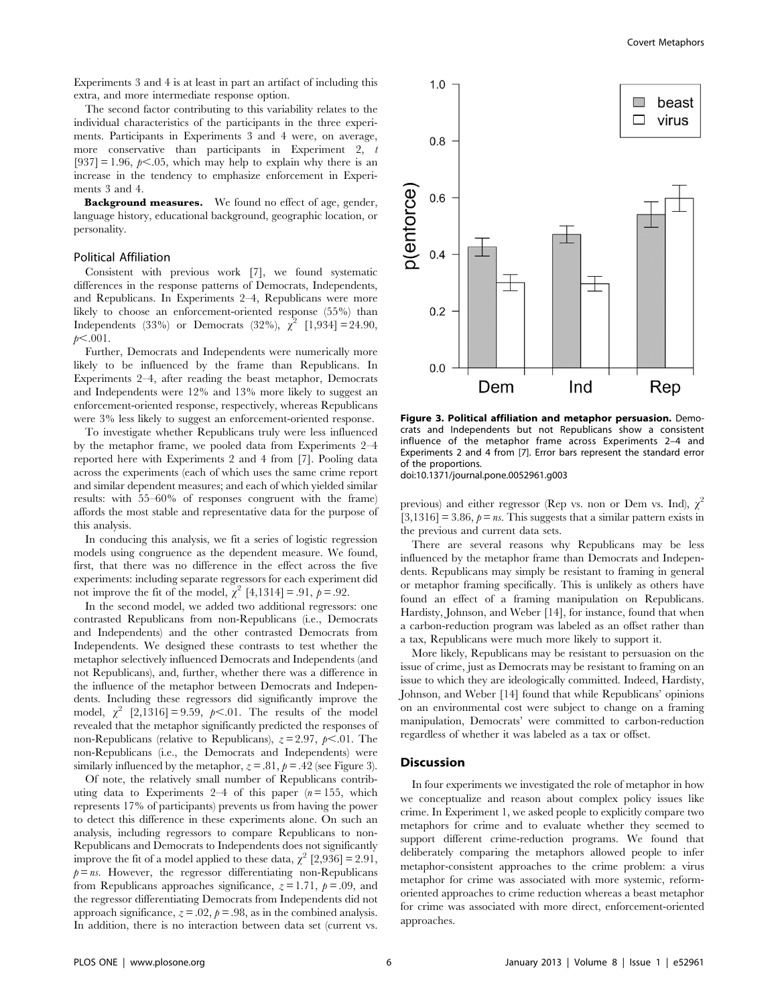Experiments 3 and 4 is at least in part an artifact of including this extra, and more intermediate response option.

The second factor contributing to this variability relates to the individual characteristics of the participants in the three experiments. Participants in Experiments 3 and 4 were, on average, more conservative than participants in Experiment 2, t  $[937] = 1.96$ ,  $p \le 0.05$ , which may help to explain why there is an increase in the tendency to emphasize enforcement in Experiments 3 and 4.

Background measures. We found no effect of age, gender, language history, educational background, geographic location, or personality.

## Political Affiliation

Consistent with previous work [7], we found systematic differences in the response patterns of Democrats, Independents, and Republicans. In Experiments 2–4, Republicans were more likely to choose an enforcement-oriented response (55%) than Independents (33%) or Democrats (32%),  $\chi^2$  [1,934] = 24.90,  $p<.001$ .

Further, Democrats and Independents were numerically more likely to be influenced by the frame than Republicans. In Experiments 2–4, after reading the beast metaphor, Democrats and Independents were 12% and 13% more likely to suggest an enforcement-oriented response, respectively, whereas Republicans were 3% less likely to suggest an enforcement-oriented response.

To investigate whether Republicans truly were less influenced by the metaphor frame, we pooled data from Experiments 2–4 reported here with Experiments 2 and 4 from [7]. Pooling data across the experiments (each of which uses the same crime report and similar dependent measures; and each of which yielded similar results: with 55–60% of responses congruent with the frame) affords the most stable and representative data for the purpose of this analysis.

In conducing this analysis, we fit a series of logistic regression models using congruence as the dependent measure. We found, first, that there was no difference in the effect across the five experiments: including separate regressors for each experiment did not improve the fit of the model,  $\chi^2$  [4,1314] = .91,  $p = .92$ .

In the second model, we added two additional regressors: one contrasted Republicans from non-Republicans (i.e., Democrats and Independents) and the other contrasted Democrats from Independents. We designed these contrasts to test whether the metaphor selectively influenced Democrats and Independents (and not Republicans), and, further, whether there was a difference in the influence of the metaphor between Democrats and Independents. Including these regressors did significantly improve the model,  $\chi^2$  [2,1316] = 9.59,  $p<.01$ . The results of the model revealed that the metaphor significantly predicted the responses of non-Republicans (relative to Republicans),  $z = 2.97$ ,  $p < .01$ . The non-Republicans (i.e., the Democrats and Independents) were similarly influenced by the metaphor,  $z = .81$ ,  $p = .42$  (see Figure 3).

Of note, the relatively small number of Republicans contributing data to Experiments 2–4 of this paper  $(n=155,$  which represents 17% of participants) prevents us from having the power to detect this difference in these experiments alone. On such an analysis, including regressors to compare Republicans to non-Republicans and Democrats to Independents does not significantly improve the fit of a model applied to these data,  $\chi^2$  [2,936] = 2.91,  $p = ns$ . However, the regressor differentiating non-Republicans from Republicans approaches significance,  $z = 1.71$ ,  $p = .09$ , and the regressor differentiating Democrats from Independents did not approach significance,  $z = .02$ ,  $p = .98$ , as in the combined analysis. In addition, there is no interaction between data set (current vs.



Figure 3. Political affiliation and metaphor persuasion. Democrats and Independents but not Republicans show a consistent influence of the metaphor frame across Experiments 2–4 and Experiments 2 and 4 from [7]. Error bars represent the standard error of the proportions.

doi:10.1371/journal.pone.0052961.g003

previous) and either regressor (Rep vs. non or Dem vs. Ind),  $\chi^2$  $[3,1316] = 3.86$ ,  $p = ns$ . This suggests that a similar pattern exists in the previous and current data sets.

There are several reasons why Republicans may be less influenced by the metaphor frame than Democrats and Independents. Republicans may simply be resistant to framing in general or metaphor framing specifically. This is unlikely as others have found an effect of a framing manipulation on Republicans. Hardisty, Johnson, and Weber [14], for instance, found that when a carbon-reduction program was labeled as an offset rather than a tax, Republicans were much more likely to support it.

More likely, Republicans may be resistant to persuasion on the issue of crime, just as Democrats may be resistant to framing on an issue to which they are ideologically committed. Indeed, Hardisty, Johnson, and Weber [14] found that while Republicans' opinions on an environmental cost were subject to change on a framing manipulation, Democrats' were committed to carbon-reduction regardless of whether it was labeled as a tax or offset.

## Discussion

In four experiments we investigated the role of metaphor in how we conceptualize and reason about complex policy issues like crime. In Experiment 1, we asked people to explicitly compare two metaphors for crime and to evaluate whether they seemed to support different crime-reduction programs. We found that deliberately comparing the metaphors allowed people to infer metaphor-consistent approaches to the crime problem: a virus metaphor for crime was associated with more systemic, reformoriented approaches to crime reduction whereas a beast metaphor for crime was associated with more direct, enforcement-oriented approaches.